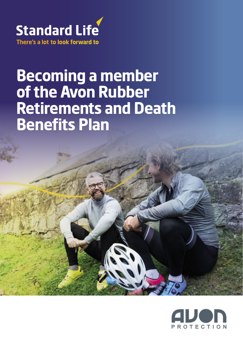

## **Becoming a member of the Avon Rubber Retirements and Death Benefits Plan**

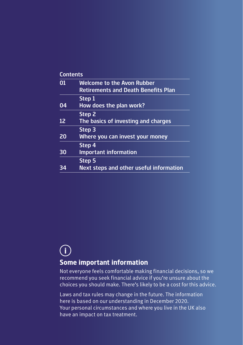| <b>Contents</b> |                                                                                 |
|-----------------|---------------------------------------------------------------------------------|
| $ 01\rangle$    | <b>Welcome to the Avon Rubber</b><br><b>Retirements and Death Benefits Plan</b> |
| 04              | Step 1<br>How does the plan work?                                               |
| 12              | Step 2<br>The basics of investing and charges                                   |
| 20              | Step <sub>3</sub><br>Where you can invest your money                            |
| 30              | Step 4<br>Important information                                                 |
| 34              | Step <sub>5</sub><br><b>Next steps and other useful information</b>             |

## $\bigcap$ **Some important information**

#### Not everyone feels comfortable making financial decisions, so we recommend you seek financial advice if you're unsure about the choices you should make. There's likely to be a cost for this advice.

Laws and tax rules may change in the future. The information here is based on our understanding in December 2020. Your personal circumstances and where you live in the UK also have an impact on tax treatment.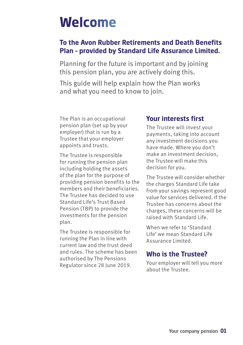## **Welcome**

## **To the Avon Rubber Retirements and Death Benefits Plan – provided by Standard Life Assurance Limited.**

Planning for the future is important and by joining this pension plan, you are actively doing this.

This guide will help explain how the Plan works and what you need to know to join.

The Plan is an occupational pension plan (set up by your employer) that is run by a Trustee that your employer appoints and trusts.

The Trustee is responsible for running the pension plan including holding the assets of the plan for the purpose of providing pension benefits to the members and their beneficiaries. The Trustee has decided to use Standard Life's Trust Based Pension (TBP) to provide the investments for the pension plan.

The Trustee is responsible for running the Plan in line with current law and the trust deed and rules. The scheme has been authorised by The Pensions Regulator since 28 June 2019.

### **Your interests first**

The Trustee will invest your payments, taking into account any investment decisions you have made. Where you don't make an investment decision, the Trustee will make this decision for you.

The Trustee will consider whether the charges Standard Life take from your savings represent good value for services delivered. If the Trustee has concerns about the charges, these concerns will be raised with Standard Life.

When we refer to 'Standard Life' we mean Standard Life Assurance Limited.

## **Who is the Trustee?**

Your employer will tell you more about the Trustee.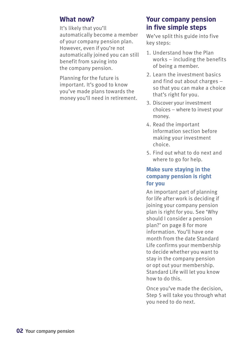## **What now?**

It's likely that you'll automatically become a member of your company pension plan. However, even if you're not automatically joined you can still benefit from saving into the company pension.

Planning for the future is important. It's good to know you've made plans towards the money you'll need in retirement.

## **Your company pension in five simple steps**

We've split this guide into five key steps:

- 1. Understand how the Plan works – including the benefits of being a member.
- 2. Learn the investment basics and find out about charges – so that you can make a choice that's right for you.
- 3. Discover your investment choices – where to invest your money.
- 4. Read the important information section before making your investment choice.
- 5. Find out what to do next and where to go for help.

#### **Make sure staying in the company pension is right for you**

An important part of planning for life after work is deciding if joining your company pension plan is right for you. See 'Why should I consider a pension plan?' on page 8 for more information. You'll have one month from the date Standard Life confirms your membership to decide whether you want to stay in the company pension or opt out your membership. Standard Life will let you know how to do this.

Once you've made the decision, Step 5 will take you through what you need to do next.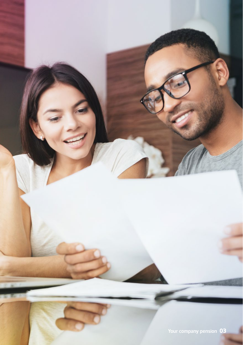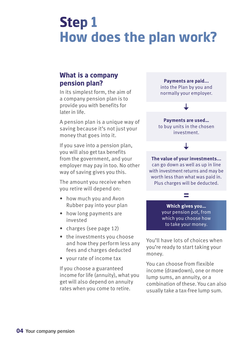## **Step 1 How does the plan work?**

### **What is a company pension plan?**

In its simplest form, the aim of a company pension plan is to provide you with benefits for later in life.

A pension plan is a unique way of saving because it's not just your money that goes into it.

If you save into a pension plan, you will also get tax benefits from the government, and your employer may pay in too. No other way of saving gives you this.

The amount you receive when you retire will depend on:

- how much you and Avon Rubber pay into your plan
- how long payments are invested
- charges (see page 12)
- the investments you choose and how they perform less any fees and charges deducted
- your rate of income tax

If you choose a guaranteed income for life (annuity), what you get will also depend on annuity rates when you come to retire.

**Payments are paid...**  into the Plan by you and normally your employer.

**Payments are used…** to buy units in the chosen investment.

**The value of your investments...** can go down as well as up in line with investment returns and may be worth less than what was paid in. Plus charges will be deducted.

> **Which gives you…** your pension pot, from which you choose how to take your money.

**=**

You'll have lots of choices when you're ready to start taking your money.

You can choose from flexible income (drawdown), one or more lump sums, an annuity, or a combination of these. You can also usually take a tax-free lump sum.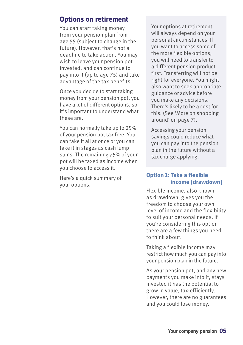### **Options on retirement**

You can start taking money from your pension plan from age 55 (subject to change in the future). However, that's not a deadline to take action. You may wish to leave your pension pot invested, and can continue to pay into it (up to age 75) and take advantage of the tax benefits.

Once you decide to start taking money from your pension pot, you have a lot of different options, so it's important to understand what these are.

You can normally take up to 25% of your pension pot tax free. You can take it all at once or you can take it in stages as cash lump sums. The remaining 75% of your pot will be taxed as income when you choose to access it.

Here's a quick summary of your options.

Your options at retirement will always depend on your personal circumstances. If you want to access some of the more flexible options, you will need to transfer to a different pension product first. Transferring will not be right for everyone. You might also want to seek appropriate guidance or advice before you make any decisions. There's likely to be a cost for this. (See 'More on shopping around' on page 7).

Accessing your pension savings could reduce what you can pay into the pension plan in the future without a tax charge applying.

#### **Option 1: Take a flexible income (drawdown)**

Flexible income, also known as drawdown, gives you the freedom to choose your own level of income and the flexibility to suit your personal needs. If you're considering this option there are a few things you need to think about.

Taking a flexible income may restrict how much you can pay into your pension plan in the future.

As your pension pot, and any new payments you make into it, stays invested it has the potential to grow in value, tax-efficiently. However, there are no guarantees and you could lose money.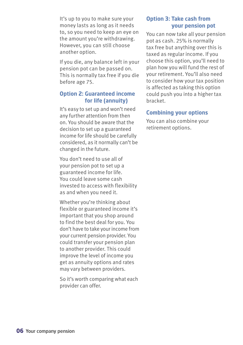It's up to you to make sure your money lasts as long as it needs to, so you need to keep an eye on the amount you're withdrawing. However, you can still choose another option.

If you die, any balance left in your pension pot can be passed on. This is normally tax free if you die before age 75.

#### **Option 2: Guaranteed income for life (annuity)**

It's easy to set up and won't need any further attention from then on. You should be aware that the decision to set up a guaranteed income for life should be carefully considered, as it normally can't be changed in the future.

You don't need to use all of your pension pot to set up a guaranteed income for life. You could leave some cash invested to access with flexibility as and when you need it.

Whether you're thinking about flexible or guaranteed income it's important that you shop around to find the best deal for you. You don't have to take your income from your current pension provider. You could transfer your pension plan to another provider. This could improve the level of income you get as annuity options and rates may vary between providers.

So it's worth comparing what each provider can offer.

#### **Option 3: Take cash from your pension pot**

You can now take all your pension pot as cash. 25% is normally tax free but anything over this is taxed as regular income. If you choose this option, you'll need to plan how you will fund the rest of your retirement. You'll also need to consider how your tax position is affected as taking this option could push you into a higher tax bracket.

#### **Combining your options**

You can also combine your retirement options.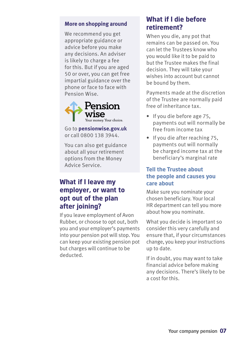#### **More on shopping around**

We recommend you get appropriate guidance or advice before you make any decisions. An adviser is likely to charge a fee for this. But if you are aged 50 or over, you can get free impartial guidance over the phone or face to face with Pension Wise.



Go to **[pensionwise.gov.uk](http://pensionwise.gov.uk)** or call 0800 138 3944.

You can also get guidance about all your retirement options from the Money Advice Service.

## **What if I leave my employer, or want to opt out of the plan after joining?**

If you leave employment of Avon Rubber, or choose to opt out, both you and your employer's payments into your pension pot will stop. You can keep your existing pension pot but charges will continue to be deducted.

## **What if I die before retirement?**

When you die, any pot that remains can be passed on. You can let the Trustees know who you would like it to be paid to but the Trustee makes the final decision. They will take your wishes into account but cannot be bound by them.

Payments made at the discretion of the Trustee are normally paid free of inheritance tax.

- If you die before age 75, payments out will normally be free from income tax
- If you die after reaching 75, payments out will normally be charged income tax at the beneficiary's marginal rate

#### **Tell the Trustee about the people and causes you care about**

Make sure you nominate your chosen beneficiary. Your local HR department can tell you more about how you nominate.

What you decide is important so consider this very carefully and ensure that, if your circumstances change, you keep your instructions up to date.

If in doubt, you may want to take financial advice before making any decisions. There's likely to be a cost for this.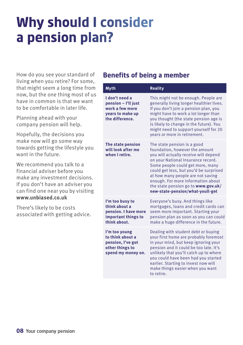## **Why should I consider a pension plan?**

How do you see your standard of living when you retire? For some, that might seem a long time from now, but the one thing most of us have in common is that we want to be comfortable in later life.

Planning ahead with your company pension will help.

Hopefully, the decisions you make now will go some way towards getting the lifestyle you want in the future.

We recommend you talk to a financial adviser before you make any investment decisions. If you don't have an adviser you can find one near you by visiting **www.unbiased.co.uk**

There's likely to be costs associated with getting advice.

## **Benefits of being a member**

| Myth                                                                                            | <b>Reality</b>                                                                                                                                                                                                                                                                                                                                                                   |
|-------------------------------------------------------------------------------------------------|----------------------------------------------------------------------------------------------------------------------------------------------------------------------------------------------------------------------------------------------------------------------------------------------------------------------------------------------------------------------------------|
| I don't need a<br>pension - I'll just<br>work a few more<br>vears to make up<br>the difference. | This might not be enough. People are<br>generally living longer healthier lives.<br>If you don't join a pension plan, you<br>might have to work a lot longer than<br>you thought (the state pension age is<br>is likely to change in the future). You<br>might need to support yourself for 20<br>years or more in retirement.                                                   |
| The state pension<br>will look after me<br>when I retire.                                       | The state pension is a good<br>foundation, however the amount<br>you will actually receive will depend<br>on your National Insurance record.<br>Some people could get more, many<br>could get less, but you'd be surprised<br>at how many people are not saving<br>enough. For more information about<br>the state pension go to www.gov.uk/<br>new-state-pension/what-youll-get |
| I'm too busy to<br>think about a<br>pension. I have more<br>important things to<br>think about. | Everyone's busy. And things like<br>mortgages, loans and credit cards can<br>seem more important. Starting your<br>pension plan as soon as you can could<br>make a huge difference in the future.                                                                                                                                                                                |
| I'm too young<br>to think about a<br>pension, I've got<br>other things to<br>spend my money on. | Dealing with student debt or buying<br>your first home are probably foremost<br>in your mind, but keep ignoring your<br>pension and it could be too late. It's<br>unlikely that you'll catch up to where<br>you could have been had you started<br>earlier. Starting to invest now will<br>make things easier when you want<br>to retire.                                        |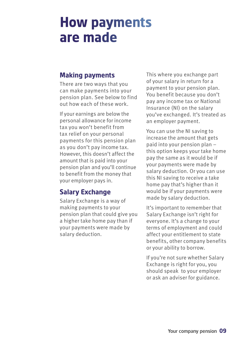## **How payments are made**

### **Making payments**

There are two ways that you can make payments into your pension plan. See below to find out how each of these work.

If your earnings are below the personal allowance for income tax you won't benefit from tax relief on your personal payments for this pension plan as you don't pay income tax. However, this doesn't affect the amount that is paid into your pension plan and you'll continue to benefit from the money that your employer pays in.

## **Salary Exchange**

Salary Exchange is a way of making payments to your pension plan that could give you a higher take home pay than if your payments were made by salary deduction.

This where you exchange part of your salary in return for a payment to your pension plan. You benefit because you don't pay any income tax or National Insurance (NI) on the salary you've exchanged. It's treated as an employer payment.

You can use the NI saving to increase the amount that gets paid into your pension plan – this option keeps your take home pay the same as it would be if your payments were made by salary deduction. Or you can use this NI saving to receive a take home pay that's higher than it would be if your payments were made by salary deduction.

It's important to remember that Salary Exchange isn't right for everyone. It's a change to your terms of employment and could affect your entitlement to state benefits, other company benefits or your ability to borrow.

If you're not sure whether Salary Exchange is right for you, you should speak to your employer or ask an adviser for guidance.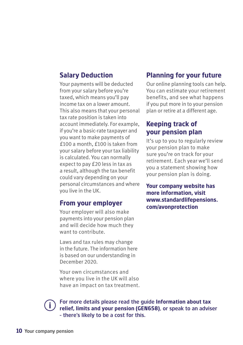## **Salary Deduction**

Your payments will be deducted from your salary before you're taxed, which means you'll pay income tax on a lower amount. This also means that your personal tax rate position is taken into account immediately. For example, if you're a basic-rate taxpayer and you want to make payments of £100 a month, £100 is taken from your salary before your tax liability is calculated. You can normally expect to pay £20 less in tax as a result, although the tax benefit could vary depending on your personal circumstances and where you live in the UK.

### **From your employer**

Your employer will also make payments into your pension plan and will decide how much they want to contribute.

Laws and tax rules may change in the future. The information here is based on our understanding in December 2020.

Your own circumstances and where you live in the UK will also have an impact on tax treatment.

### **Planning for your future**

Our online planning tools can help. You can estimate your retirement benefits, and see what happens if you put more in to your pension plan or retire at a different age.

### **Keeping track of your pension plan**

It's up to you to regularly review your pension plan to make sure you're on track for your retirement. Each year we'll send you a statement showing how your pension plan is doing.

**Your company website has more information, visit [www.standardlifepensions.](https://www.standardlifepensions.com/avonprotection) [com/avonprotection](https://www.standardlifepensions.com/avonprotection)**

For more details please read the guide **Information about tax relief, limits and your pension (GEN658)**, or speak to an adviser – there's likely to be a cost for this.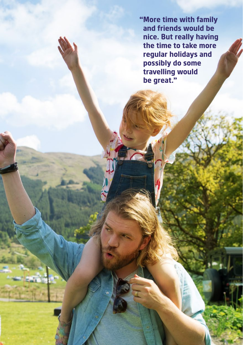**"More time with family and friends would be nice. But really having the time to take more regular holidays and possibly do some travelling would be great."**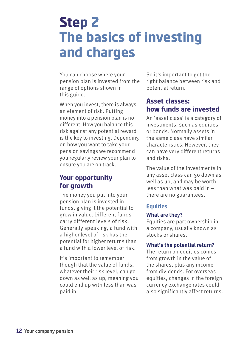## **Step 2 The basics of investing and charges**

You can choose where your pension plan is invested from the range of options shown in this guide.

When you invest, there is always an element of risk. Putting money into a pension plan is no different. How you balance this risk against any potential reward is the key to investing. Depending on how you want to take your pension savings we recommend you regularly review your plan to ensure you are on track.

## **Your opportunity for growth**

The money you put into your pension plan is invested in funds, giving it the potential to grow in value. Different funds carry different levels of risk. Generally speaking, a fund with a higher level of risk has the potential for higher returns than a fund with a lower level of risk.

It's important to remember though that the value of funds, whatever their risk level, can go down as well as up, meaning you could end up with less than was paid in.

So it's important to get the right balance between risk and potential return.

### **Asset classes: how funds are invested**

An 'asset class' is a category of investments, such as equities or bonds. Normally assets in the same class have similar characteristics. However, they can have very different returns and risks.

The value of the investments in any asset class can go down as well as up, and may be worth less than what was paid in – there are no guarantees.

#### **Equities**

#### **What are they?**

Equities are part ownership in a company, usually known as stocks or shares.

#### **What's the potential return?**

The return on equities comes from growth in the value of the shares, plus any income from dividends. For overseas equities, changes in the foreign currency exchange rates could also significantly affect returns.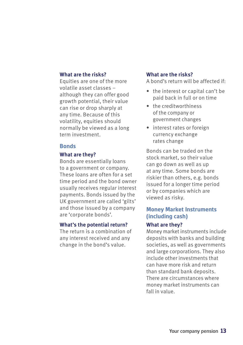#### **What are the risks?**

Equities are one of the more volatile asset classes – although they can offer good growth potential, their value can rise or drop sharply at any time. Because of this volatility, equities should normally be viewed as a long term investment.

#### **Bonds**

#### **What are they?**

Bonds are essentially loans to a government or company. These loans are often for a set time period and the bond owner usually receives regular interest payments. Bonds issued by the UK government are called 'gilts' and those issued by a company are 'corporate bonds'.

#### **What's the potential return?**

The return is a combination of any interest received and any change in the bond's value.

#### **What are the risks?**

A bond's return will be affected if:

- the interest or capital can't be paid back in full or on time
- the creditworthiness of the company or government changes
- interest rates or foreign currency exchange rates change

Bonds can be traded on the stock market, so their value can go down as well as up at any time. Some bonds are riskier than others, e.g. bonds issued for a longer time period or by companies which are viewed as risky.

#### **Money Market Instruments (including cash)**

#### **What are they?**

Money market instruments include deposits with banks and building societies, as well as governments and large corporations. They also include other investments that can have more risk and return than standard bank deposits. There are circumstances where money market instruments can fall in value.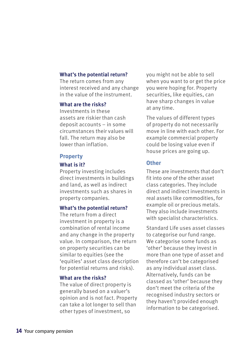#### **What's the potential return?**

The return comes from any interest received and any change in the value of the instrument.

#### **What are the risks?**

Investments in these assets are riskier than cash deposit accounts – in some circumstances their values will fall. The return may also be lower than inflation.

#### **Property**

#### **What is it?**

Property investing includes direct investments in buildings and land, as well as indirect investments such as shares in property companies.

#### **What's the potential return?**

The return from a direct investment in property is a combination of rental income and any change in the property value. In comparison, the return on property securities can be similar to equities (see the 'equities' asset class description for potential returns and risks).

#### **What are the risks?**

The value of direct property is generally based on a valuer's opinion and is not fact. Property can take a lot longer to sell than other types of investment, so

you might not be able to sell when you want to or get the price you were hoping for. Property securities, like equities, can have sharp changes in value at any time.

The values of different types of property do not necessarily move in line with each other. For example commercial property could be losing value even if house prices are going up.

#### **Other**

These are investments that don't fit into one of the other asset class categories. They include direct and indirect investments in real assets like commodities, for example oil or precious metals. They also include investments with specialist characteristics.

Standard Life uses asset classes to categorise our fund range. We categorise some funds as 'other' because they invest in more than one type of asset and therefore can't be categorised as any individual asset class. Alternatively, funds can be classed as 'other' because they don't meet the criteria of the recognised industry sectors or they haven't provided enough information to be categorised.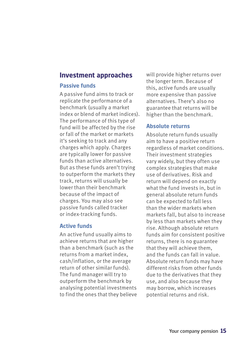### **Investment approaches**

#### **Passive funds**

A passive fund aims to track or replicate the performance of a benchmark (usually a market index or blend of market indices). The performance of this type of fund will be affected by the rise or fall of the market or markets it's seeking to track and any charges which apply. Charges are typically lower for passive funds than active alternatives. But as these funds aren't trying to outperform the markets they track, returns will usually be lower than their benchmark because of the impact of charges. You may also see passive funds called tracker or index-tracking funds.

#### **Active funds**

An active fund usually aims to achieve returns that are higher than a benchmark (such as the returns from a market index, cash/inflation, or the average return of other similar funds). The fund manager will try to outperform the benchmark by analysing potential investments to find the ones that they believe will provide higher returns over the longer term. Because of this, active funds are usually more expensive than passive alternatives. There's also no guarantee that returns will be higher than the benchmark.

#### **Absolute returns**

Absolute return funds usually aim to have a positive return regardless of market conditions. Their investment strategies vary widely, but they often use complex strategies that make use of derivatives. Risk and return will depend on exactly what the fund invests in, but in general absolute return funds can be expected to fall less than the wider markets when markets fall, but also to increase by less than markets when they rise. Although absolute return funds aim for consistent positive returns, there is no guarantee that they will achieve them, and the funds can fall in value. Absolute return funds may have different risks from other funds due to the derivatives that they use, and also because they may borrow, which increases potential returns and risk.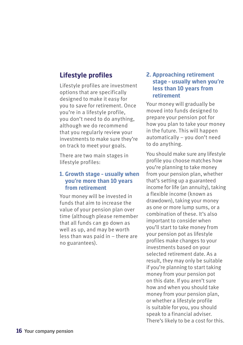## **Lifestyle profiles**

Lifestyle profiles are investment options that are specifically designed to make it easy for you to save for retirement. Once you're in a lifestyle profile, you don't need to do anything, although we do recommend that you regularly review your investments to make sure they're on track to meet your goals.

There are two main stages in lifestyle profiles:

#### **1. Growth stage – usually when you're more than 10 years from retirement**

Your money will be invested in funds that aim to increase the value of your pension plan over time (although please remember that all funds can go down as well as up, and may be worth less than was paid in – there are no guarantees).

#### **2. Approaching retirement stage – usually when you're less than 10 years from retirement**

Your money will gradually be moved into funds designed to prepare your pension pot for how you plan to take your money in the future. This will happen automatically – you don't need to do anything.

You should make sure any lifestyle profile you choose matches how you're planning to take money from your pension plan, whether that's setting up a guaranteed income for life (an annuity), taking a flexible income (known as drawdown), taking your money as one or more lump sums, or a combination of these. It's also important to consider when you'll start to take money from your pension pot as lifestyle profiles make changes to your investments based on your selected retirement date. As a result, they may only be suitable if you're planning to start taking money from your pension pot on this date. If you aren't sure how and when you should take money from your pension plan, or whether a lifestyle profile is suitable for you, you should speak to a financial adviser. There's likely to be a cost for this.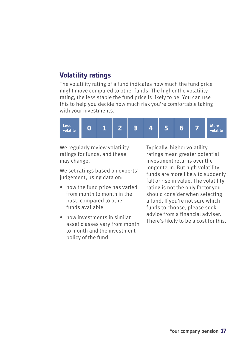## **Volatility ratings**

The volatility rating of a fund indicates how much the fund price might move compared to other funds. The higher the volatility rating, the less stable the fund price is likely to be. You can use this to help you decide how much risk you're comfortable taking with your investments.



We regularly review volatility ratings for funds, and these may change.

We set ratings based on experts' judgement, using data on:

- how the fund price has varied from month to month in the past, compared to other funds available
- how investments in similar asset classes vary from month to month and the investment policy of the fund

Typically, higher volatility ratings mean greater potential investment returns over the longer term. But high volatility funds are more likely to suddenly fall or rise in value. The volatility rating is not the only factor you should consider when selecting a fund. If you're not sure which funds to choose, please seek advice from a financial adviser. There's likely to be a cost for this.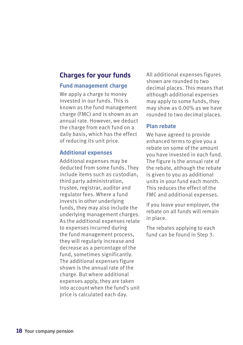### **Charges for your funds**

#### **Fund management charge**

We apply a charge to money invested in our funds. This is known as the fund management charge (FMC) and is shown as an annual rate. However, we deduct the charge from each fund on a daily basis, which has the effect of reducing its unit price.

#### **Additional expenses**

Additional expenses may be deducted from some funds. They include items such as custodian, third party administration, trustee, registrar, auditor and regulator fees. Where a fund invests in other underlying funds, they may also include the underlying management charges. As the additional expenses relate to expenses incurred during the fund management process, they will regularly increase and decrease as a percentage of the fund, sometimes significantly. The additional expenses figure shown is the annual rate of the charge. But where additional expenses apply, they are taken into account when the fund's unit price is calculated each day.

All additional expenses figures shown are rounded to two decimal places. This means that although additional expenses may apply to some funds, they may show as 0.00% as we have rounded to two decimal places.

#### **Plan rebate**

We have agreed to provide enhanced terms to give you a rebate on some of the amount you have invested in each fund. The figure is the annual rate of the rebate, although the rebate is given to you as additional units in your fund each month. This reduces the effect of the FMC and additional expenses.

If you leave your employer, the rebate on all funds will remain in place.

The rebates applying to each fund can be found in Step 3.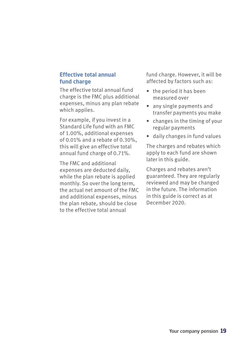#### **Effective total annual fund charge**

The effective total annual fund charge is the FMC plus additional expenses, minus any plan rebate which applies.

For example, if you invest in a Standard Life fund with an FMC of 1.00%, additional expenses of 0.01% and a rebate of 0.30%, this will give an effective total annual fund charge of 0.71%.

The FMC and additional expenses are deducted daily, while the plan rebate is applied monthly. So over the long term, the actual net amount of the FMC and additional expenses, minus the plan rebate, should be close to the effective total annual

fund charge. However, it will be affected by factors such as:

- the period it has been measured over
- any single payments and transfer payments you make
- changes in the timing of your regular payments
- daily changes in fund values

The charges and rebates which apply to each fund are shown later in this guide.

Charges and rebates aren't guaranteed. They are regularly reviewed and may be changed in the future. The information in this guide is correct as at December 2020.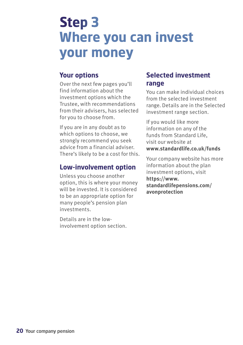## **Step 3 Where you can invest your money**

## **Your options**

Over the next few pages you'll find information about the investment options which the Trustee, with recommendations from their advisers, has selected for you to choose from.

If you are in any doubt as to which options to choose, we strongly recommend you seek advice from a financial adviser. There's likely to be a cost for this.

### **Low-involvement option**

Unless you choose another option, this is where your money will be invested. It is considered to be an appropriate option for many people's pension plan investments.

Details are in the lowinvolvement option section.

## **Selected investment range**

You can make individual choices from the selected investment range. Details are in the Selected investment range section.

If you would like more information on any of the funds from Standard Life, visit our website at **www.standardlife.co.uk/funds**

Your company website has more information about the plan investment options, visit **[https://www.](https://www.standardlifepensions.com/avonprotection) [standardlifepensions.com/](https://www.standardlifepensions.com/avonprotection) [avonprotection](https://www.standardlifepensions.com/avonprotection)**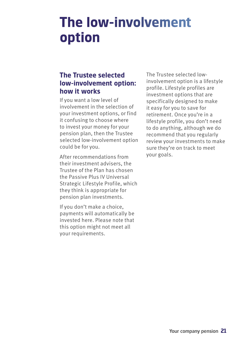## **The low-involvement option**

## **The Trustee selected low-involvement option: how it works**

If you want a low level of involvement in the selection of your investment options, or find it confusing to choose where to invest your money for your pension plan, then the Trustee selected low-involvement option could be for you.

After recommendations from their investment advisers, the Trustee of the Plan has chosen the Passive Plus IV Universal Strategic Lifestyle Profile, which they think is appropriate for pension plan investments.

If you don't make a choice, payments will automatically be invested here. Please note that this option might not meet all your requirements.

The Trustee selected lowinvolvement option is a lifestyle profile. Lifestyle profiles are investment options that are specifically designed to make it easy for you to save for retirement. Once you're in a lifestyle profile, you don't need to do anything, although we do recommend that you regularly review your investments to make sure they're on track to meet your goals.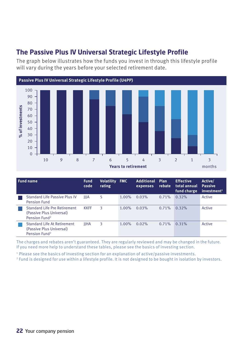## **The Passive Plus IV Universal Strategic Lifestyle Profile**

The graph below illustrates how the funds you invest in through this lifestyle profile will vary during the years before your selected retirement date.



| Fund name                                                                                    | <b>Fund</b><br>code | Volatility FMC<br>rating |       | Additional<br>expenses | <b>Plan</b><br>rebate | <b>Effective</b><br>total annual<br>fund charge | Active/<br><b>Passive</b><br>investment <sup>1</sup> |
|----------------------------------------------------------------------------------------------|---------------------|--------------------------|-------|------------------------|-----------------------|-------------------------------------------------|------------------------------------------------------|
| <b>Standard Life Passive Plus IV</b><br><b>Pension Fund</b>                                  | <b>IIIA</b>         | 5                        | 1.00% | 0.03%                  | 0.71%                 | 0.32%                                           | Active                                               |
| <b>Standard Life Pre Retirement</b><br>(Passive Plus Universal)<br>Pension Fund <sup>2</sup> | <b>KKFF</b>         | 3                        | 1.00% | 0.03%                  | 0.71%                 | 0.32%                                           | Active                                               |
| <b>Standard Life At Retirement</b><br>(Passive Plus Universal)<br>Pension Fund <sup>2</sup>  | <b>IIHA</b>         | 3                        | 1.00% | 0.02%                  | 0.71%                 | 0.31%                                           | Active                                               |

The charges and rebates aren't guaranteed. They are regularly reviewed and may be changed in the future. If you need more help to understand these tables, please see the basics of investing section.

<sup>1</sup> Please see the basics of investing section for an explanation of active/passive investments.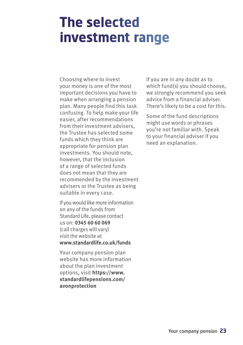## **The selected investment range**

Choosing where to invest your money is one of the most important decisions you have to make when arranging a pension plan. Many people find this task confusing. To help make your life easier, after recommendations from their investment advisers, the Trustee has selected some funds which they think are appropriate for pension plan investments. You should note, however, that the inclusion of a range of selected funds does not mean that they are recommended by the investment advisers or the Trustee as being suitable in every case.

If you would like more information on any of the funds from Standard Life, please contact us on: **0345 60 60 069** (call charges will vary) visit the website at **www.standardlife.co.uk/funds**

Your company pension plan website has more information about the plan investment options, visit **[https://www.](https://www.standardlifepensions.com/avonprotection) [standardlifepensions.com/](https://www.standardlifepensions.com/avonprotection) [avonprotection](https://www.standardlifepensions.com/avonprotection)**

If you are in any doubt as to which fund(s) you should choose, we strongly recommend you seek advice from a financial adviser. There's likely to be a cost for this.

Some of the fund descriptions might use words or phrases you're not familiar with. Speak to your financial adviser if you need an explanation.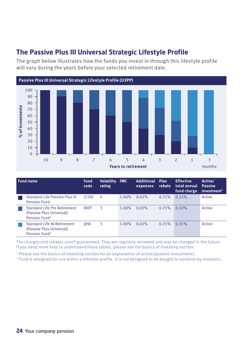## **The Passive Plus III Universal Strategic Lifestyle Profile**

The graph below illustrates how the funds you invest in through this lifestyle profile will vary during the years before your selected retirement date.



| l Fund name |                                                                                              | <b>Fund</b><br>code | Volatility<br>rating | <b>FMC</b> | Additional<br>expenses | <b>Plan</b><br>rebate | <b>Effective</b><br>total annual<br>fund charge | Active/<br><b>Passive</b><br>inverse |
|-------------|----------------------------------------------------------------------------------------------|---------------------|----------------------|------------|------------------------|-----------------------|-------------------------------------------------|--------------------------------------|
|             | Standard Life Passive Plus III<br><b>Pension Fund</b>                                        | <b>CCHD</b>         | 4                    | 1.00%      | 0.02%                  | 0.71%                 | 0.31%                                           | Active                               |
|             | <b>Standard Life Pre Retirement</b><br>(Passive Plus Universal)<br>Pension Fund <sup>2</sup> | <b>KKFF</b>         | 3                    | 1.00%      | 0.03%                  | 0.71%                 | 0.32%                                           | Active                               |
|             | <b>Standard Life At Retirement</b><br>(Passive Plus Universal)<br>Pension Fund <sup>2</sup>  | <b>IIHA</b>         | 3                    | 1.00%      | 0.02%                  | 0.71%                 | 0.31%                                           | Active                               |

The charges and rebates aren't guaranteed. They are regularly reviewed and may be changed in the future. If you need more help to understand these tables, please see the basics of investing section.

1 Please see the basics of investing section for an explanation of active/passive investments.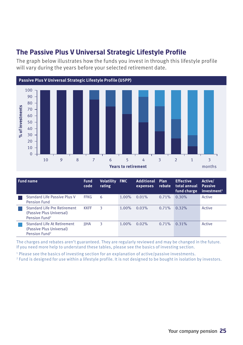## **The Passive Plus V Universal Strategic Lifestyle Profile**

The graph below illustrates how the funds you invest in through this lifestyle profile will vary during the years before your selected retirement date.



| l Fund name |                                                                                              | <b>Fund</b><br>code | Volatility<br>rating | <b>FMC</b> | Additional<br>expenses | Plan<br>rebate | <b>Effective</b><br>total annual<br>fund charge | Active/<br><b>Passive</b><br>inverse |
|-------------|----------------------------------------------------------------------------------------------|---------------------|----------------------|------------|------------------------|----------------|-------------------------------------------------|--------------------------------------|
|             | Standard Life Passive Plus V<br><b>Pension Fund</b>                                          | <b>FFKG</b>         | 6                    | 1.00%      | 0.01%                  | 0.71%          | 0.30%                                           | Active                               |
|             | <b>Standard Life Pre Retirement</b><br>(Passive Plus Universal)<br>Pension Fund <sup>2</sup> | <b>KKFF</b>         | 3                    | 1.00%      | 0.03%                  | 0.71%          | 0.32%                                           | Active                               |
|             | <b>Standard Life At Retirement</b><br>(Passive Plus Universal)<br>Pension Fund <sup>2</sup>  | <b>IIHA</b>         | 3                    | 1.00%      | 0.02%                  | 0.71%          | 0.31%                                           | Active                               |

The charges and rebates aren't guaranteed. They are regularly reviewed and may be changed in the future. If you need more help to understand these tables, please see the basics of investing section.

1 Please see the basics of investing section for an explanation of active/passive investments.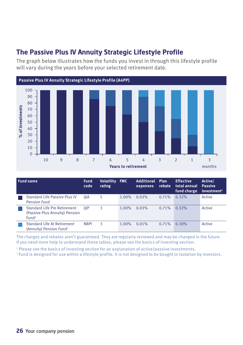## **The Passive Plus IV Annuity Strategic Lifestyle Profile**

The graph below illustrates how the funds you invest in through this lifestyle profile will vary during the years before your selected retirement date.



| <b>Fund name</b>                                                                           | <b>Fund</b><br>code | <b>Volatility</b><br>rating | <b>FMC</b> | Additional<br>expenses | <b>Plan</b><br>rebate | <b>Effective</b><br>total annual<br>fund charge | Active/<br><b>Passive</b><br>investment <sup>1</sup> |
|--------------------------------------------------------------------------------------------|---------------------|-----------------------------|------------|------------------------|-----------------------|-------------------------------------------------|------------------------------------------------------|
| <b>Standard Life Passive Plus IV</b><br><b>Pension Fund</b>                                | <b>IIIA</b>         | 5                           | 1.00%      | 0.03%                  | 0.71%                 | 0.32%                                           | Active                                               |
| <b>Standard Life Pre Retirement</b><br>(Passive Plus Annuity) Pension<br>Fund <sup>2</sup> | <b>IIIP</b>         | 3                           | 1.00%      | 0.03%                  | 0.71%                 | 0.32%                                           | Active                                               |
| <b>Standard Life At Retirement</b><br>(Annuity) Pension Fund <sup>2</sup>                  | <b>NBPI</b>         | 3                           | 1.00%      | 0.01%                  | 0.71%                 | 0.30%                                           | Active                                               |

The charges and rebates aren't guaranteed. They are regularly reviewed and may be changed in the future. If you need more help to understand these tables, please see the basics of investing section.

1 Please see the basics of investing section for an explanation of active/passive investments.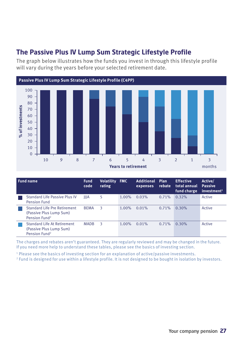## **The Passive Plus IV Lump Sum Strategic Lifestyle Profile**

The graph below illustrates how the funds you invest in through this lifestyle profile will vary during the years before your selected retirement date.



| <b>Fund name</b>                                                                            | <b>Fund</b><br>code | <b>Volatility FMC</b><br>rating |       | Additional<br>expenses | <b>Plan</b><br>rebate | <b>Effective</b><br>total annual<br>fund charge | Active/<br><b>Passive</b><br>inverse |
|---------------------------------------------------------------------------------------------|---------------------|---------------------------------|-------|------------------------|-----------------------|-------------------------------------------------|--------------------------------------|
| <b>Standard Life Passive Plus IV</b><br><b>Pension Fund</b>                                 | <b>IIIA</b>         | 5                               | 1.00% | 0.03%                  | 0.71%                 | 0.32%                                           | Active                               |
| <b>Standard Life Pre Retirement</b><br>(Passive Plus Lump Sum)<br>Pension Fund <sup>2</sup> | <b>BEMA</b>         | 3                               | 1.00% | 0.01%                  | 0.71%                 | 0.30%                                           | Active                               |
| <b>Standard Life At Retirement</b><br>(Passive Plus Lump Sum)<br>Pension Fund <sup>2</sup>  | <b>MADB</b>         | 3                               | 1.00% | 0.01%                  | 0.71%                 | 0.30%                                           | Active                               |

The charges and rebates aren't guaranteed. They are regularly reviewed and may be changed in the future. If you need more help to understand these tables, please see the basics of investing section.

1 Please see the basics of investing section for an explanation of active/passive investments.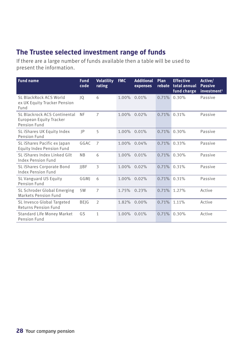## **The Trustee selected investment range of funds**

If there are a large number of funds available then a table will be used to present the information.

| <b>Fund name</b>                                                        | <b>Fund</b><br>code | <b>Volatility</b><br>rating | <b>FMC</b>  | <b>Additional</b><br>expenses | <b>Plan</b><br>rebate | <b>Effective</b><br>total annual<br>fund charge | Active/<br><b>Passive</b><br>investment <sup>1</sup> |
|-------------------------------------------------------------------------|---------------------|-----------------------------|-------------|-------------------------------|-----------------------|-------------------------------------------------|------------------------------------------------------|
| SL BlackRock ACS World<br>ex UK Equity Tracker Pension<br>Fund          | 10                  | 6                           | 1.00%       | 0.01%                         | 0.71%                 | 0.30%                                           | Passive                                              |
| SL Blackrock ACS Continental<br>European Equity Tracker<br>Pension Fund | <b>NF</b>           | 7                           | 1.00% 0.02% |                               | 0.71%                 | 0.31%                                           | Passive                                              |
| SL iShares UK Equity Index<br>Pension Fund                              | IP                  | 5                           | $1.00\%$    | 0.01%                         | 0.71%                 | 0.30%                                           | Passive                                              |
| SL iShares Pacific ex Japan<br>Equity Index Pension Fund                | GGAC                | $\overline{7}$              | 1.00% 0.04% |                               | 0.71%                 | 0.33%                                           | Passive                                              |
| SL iShares Index Linked Gilt<br>Index Pension Fund                      | <b>NB</b>           | 6                           | $1.00\%$    | 0.01%                         | 0.71%                 | 0.30%                                           | Passive                                              |
| SL iShares Corporate Bond<br>Index Pension Fund                         | <b>IIBF</b>         | 3                           | 1.00%       | 0.02%                         | 0.71%                 | 0.31%                                           | Passive                                              |
| SL Vanguard US Equity<br>Pension Fund                                   | GGMI                | 6                           | $1.00\%$    | 0.02%                         | 0.71%                 | 0.31%                                           | Passive                                              |
| SL Schroder Global Emerging<br>Markets Pension Fund                     | 5W                  | $\overline{7}$              | 1.75%       | 0.23%                         | 0.71%                 | 1.27%                                           | Active                                               |
| SL Invesco Global Targeted<br>Returns Pension Fund                      | <b>BEIG</b>         | $\overline{2}$              | 1.82%       | $0.00\%$                      | 0.71%                 | 1.11%                                           | Active                                               |
| <b>Standard Life Money Market</b><br>Pension Fund                       | GS                  | $\mathbf{1}$                | 1.00%       | 0.01%                         | 0.71%                 | 0.30%                                           | Active                                               |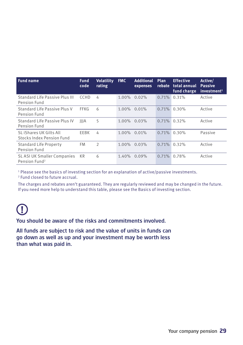| <b>Fund name</b>                                               | <b>Fund</b><br>code | <b>Volatility</b><br>rating | <b>FMC</b> | <b>Additional</b><br>expenses | <b>Plan</b><br>rebate | <b>Effective</b><br>total annual<br>fund charge | Active/<br><b>Passive</b><br>investment <sup>1</sup> |
|----------------------------------------------------------------|---------------------|-----------------------------|------------|-------------------------------|-----------------------|-------------------------------------------------|------------------------------------------------------|
| Standard Life Passive Plus III<br>Pension Fund                 | <b>CCHD</b>         | 4                           | $1.00\%$   | $0.02\%$                      | 0.71%                 | 0.31%                                           | Active                                               |
| Standard Life Passive Plus V<br>Pension Fund                   | FFKG                | 6                           | $1.00\%$   | 0.01%                         | 0.71%                 | 0.30%                                           | Active                                               |
| Standard Life Passive Plus IV<br>Pension Fund                  | <b>IIIA</b>         | 5                           | 1.00%      | 0.03%                         | 0.71%                 | 0.32%                                           | Active                                               |
| SL iShares UK Gilts All<br>Stocks Index Pension Fund           | EEBK                | 4                           | $1.00\%$   | $0.01\%$                      | 0.71%                 | 0.30%                                           | Passive                                              |
| Standard Life Property<br>Pension Fund                         | <b>FM</b>           | $\overline{2}$              | 1.00%      | 0.03%                         | 0.71%                 | 0.32%                                           | Active                                               |
| <b>SLASI UK Smaller Companies</b><br>Pension Fund <sup>2</sup> | KR                  | 6                           | 1.40%      | $0.09\%$                      | 0.71%                 | 0.78%                                           | Active                                               |

<sup>1</sup> Please see the basics of investing section for an explanation of active/passive investments.

2 Fund closed to future accrual.

The charges and rebates aren't guaranteed. They are regularly reviewed and may be changed in the future. If you need more help to understand this table, please see the Basics of investing section.

## Œ

You should be aware of the risks and commitments involved.

All funds are subject to risk and the value of units in funds can go down as well as up and your investment may be worth less than what was paid in.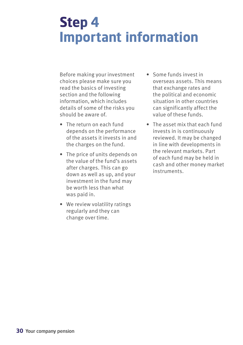## **Step 4 Important information**

Before making your investment choices please make sure you read the basics of investing section and the following information, which includes details of some of the risks you should be aware of.

- The return on each fund depends on the performance of the assets it invests in and the charges on the fund.
- The price of units depends on the value of the fund's assets after charges. This can go down as well as up, and your investment in the fund may be worth less than what was paid in.
- We review volatility ratings regularly and they can change over time.
- Some funds invest in overseas assets. This means that exchange rates and the political and economic situation in other countries can significantly affect the value of these funds.
- The asset mix that each fund invests in is continuously reviewed. It may be changed in line with developments in the relevant markets. Part of each fund may be held in cash and other money market instruments.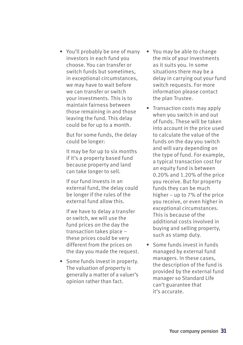• You'll probably be one of many investors in each fund you choose. You can transfer or switch funds but sometimes, in exceptional circumstances, we may have to wait before we can transfer or switch your investments. This is to maintain fairness between those remaining in and those leaving the fund. This delay could be for up to a month.

But for some funds, the delay could be longer:

It may be for up to six months if it's a property based fund because property and land can take longer to sell.

If our fund invests in an external fund, the delay could be longer if the rules of the external fund allow this.

If we have to delay a transfer or switch, we will use the fund prices on the day the transaction takes place – these prices could be very different from the prices on the day you made the request.

• Some funds invest in property. The valuation of property is generally a matter of a valuer's opinion rather than fact.

- You may be able to change the mix of your investments as it suits you. In some situations there may be a delay in carrying out your fund switch requests. For more information please contact the plan Trustee.
- Transaction costs may apply when you switch in and out of funds. These will be taken into account in the price used to calculate the value of the funds on the day you switch and will vary depending on the type of fund. For example, a typical transaction cost for an equity fund is between 0.20% and 1.20% of the price you receive. But for property funds they can be much higher – up to 7% of the price you receive, or even higher in exceptional circumstances. This is because of the additional costs involved in buying and selling property, such as stamp duty.
- Some funds invest in funds managed by external fund managers. In these cases, the description of the fund is provided by the external fund manager so Standard Life can't guarantee that it's accurate.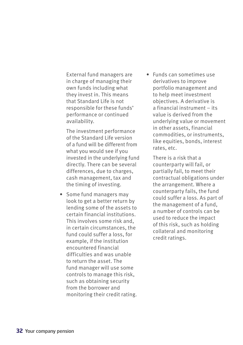External fund managers are in charge of managing their own funds including what they invest in. This means that Standard Life is not responsible for these funds' performance or continued availability.

The investment performance of the Standard Life version of a fund will be different from what you would see if you invested in the underlying fund directly. There can be several differences, due to charges, cash management, tax and the timing of investing.

• Some fund managers may look to get a better return by lending some of the assets to certain financial institutions. This involves some risk and, in certain circumstances, the fund could suffer a loss, for example, if the institution encountered financial difficulties and was unable to return the asset. The fund manager will use some controls to manage this risk, such as obtaining security from the borrower and monitoring their credit rating. • Funds can sometimes use derivatives to improve portfolio management and to help meet investment objectives. A derivative is a financial instrument – its value is derived from the underlying value or movement in other assets, financial commodities, or instruments, like equities, bonds, interest rates, etc.

There is a risk that a counterparty will fail, or partially fail, to meet their contractual obligations under the arrangement. Where a counterparty fails, the fund could suffer a loss. As part of the management of a fund, a number of controls can be used to reduce the impact of this risk, such as holding collateral and monitoring credit ratings.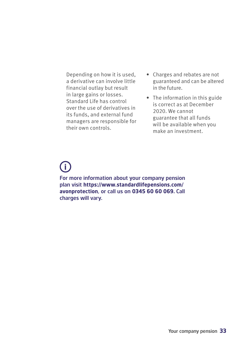Depending on how it is used, a derivative can involve little financial outlay but result in large gains or losses. Standard Life has control over the use of derivatives in its funds, and external fund managers are responsible for their own controls.

- Charges and rebates are not guaranteed and can be altered in the future.
- The information in this guide is correct as at December 2020. We cannot guarantee that all funds will be available when you make an investment.

## **i**

For more information about your company pension plan visit **[https://www.standardlifepensions.com/](https://www.standardlifepensions.com/avonprotection) [avonprotection](https://www.standardlifepensions.com/avonprotection)**, or call us on **0345 60 60 069.** Call charges will vary.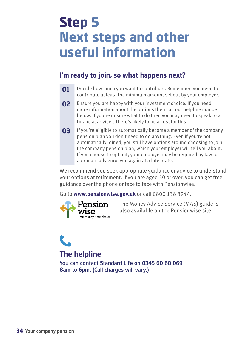## **Step 5 Next steps and other useful information**

## **I'm ready to join, so what happens next?**

| 01 | Decide how much you want to contribute. Remember, you need to<br>contribute at least the minimum amount set out by your employer.                                                                                                                                                                                                                                                                         |
|----|-----------------------------------------------------------------------------------------------------------------------------------------------------------------------------------------------------------------------------------------------------------------------------------------------------------------------------------------------------------------------------------------------------------|
| 02 | Ensure you are happy with your investment choice. If you need<br>more information about the options then call our helpline number<br>below. If you're unsure what to do then you may need to speak to a<br>financial adviser. There's likely to be a cost for this.                                                                                                                                       |
| 03 | If you're eligible to automatically become a member of the company<br>pension plan you don't need to do anything. Even if you're not<br>automatically joined, you still have options around choosing to join<br>the company pension plan, which your employer will tell you about.<br>If you choose to opt out, your employer may be required by law to<br>automatically enrol you again at a later date. |

We recommend you seek appropriate guidance or advice to understand your options at retirement. If you are aged 50 or over, you can get free guidance over the phone or face to face with Pensionwise.

Go to **[www.pensionwise.gov.uk](http://www.pensionwise.gov.uk)** or call 0800 138 3944.



The Money Advice Service (MAS) guide is also available on the Pensionwise site.

**The helpline**

You can contact Standard Life on 0345 60 60 069 8am to 6pm. (Call charges will vary.)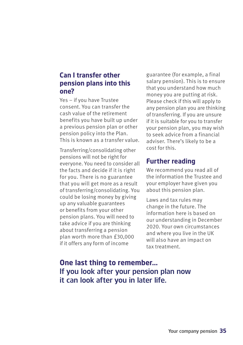### **Can I transfer other pension plans into this one?**

Yes – if you have Trustee consent. You can transfer the cash value of the retirement benefits you have built up under a previous pension plan or other pension policy into the Plan. This is known as a transfer value.

Transferring/consolidating other pensions will not be right for everyone. You need to consider all the facts and decide if it is right for you. There is no guarantee that you will get more as a result of transferring/consolidating. You could be losing money by giving up any valuable guarantees or benefits from your other pension plans. You will need to take advice if you are thinking about transferring a pension plan worth more than £30,000 if it offers any form of income

guarantee (for example, a final salary pension). This is to ensure that you understand how much money you are putting at risk. Please check if this will apply to any pension plan you are thinking of transferring. If you are unsure if it is suitable for you to transfer your pension plan, you may wish to seek advice from a financial adviser. There's likely to be a cost for this.

### **Further reading**

We recommend you read all of the information the Trustee and your employer have given you about this pension plan.

Laws and tax rules may change in the future. The information here is based on our understanding in December 2020. Your own circumstances and where you live in the UK will also have an impact on tax treatment.

## **One last thing to remember…** If you look after your pension plan now it can look after you in later life.